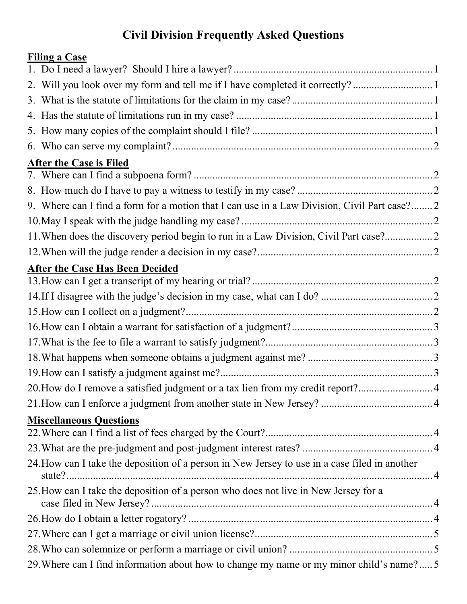# **Civil Division Frequently Asked Questions**

# **Filing a Case**

| 2. Will you look over my form and tell me if I have completed it correctly? 1                 |  |
|-----------------------------------------------------------------------------------------------|--|
|                                                                                               |  |
|                                                                                               |  |
|                                                                                               |  |
|                                                                                               |  |
| <b>After the Case is Filed</b>                                                                |  |
|                                                                                               |  |
|                                                                                               |  |
| 9. Where can I find a form for a motion that I can use in a Law Division, Civil Part case? 2  |  |
|                                                                                               |  |
| 11. When does the discovery period begin to run in a Law Division, Civil Part case?           |  |
|                                                                                               |  |
| <b>After the Case Has Been Decided</b>                                                        |  |
|                                                                                               |  |
|                                                                                               |  |
|                                                                                               |  |
|                                                                                               |  |
|                                                                                               |  |
|                                                                                               |  |
|                                                                                               |  |
| 20. How do I remove a satisfied judgment or a tax lien from my credit report?4                |  |
|                                                                                               |  |
| <b>Miscellaneous Questions</b>                                                                |  |
|                                                                                               |  |
|                                                                                               |  |
| 24. How can I take the deposition of a person in New Jersey to use in a case filed in another |  |
| 25. How can I take the deposition of a person who does not live in New Jersey for a           |  |
|                                                                                               |  |
|                                                                                               |  |
|                                                                                               |  |
| 29. Where can I find information about how to change my name or my minor child's name?  5     |  |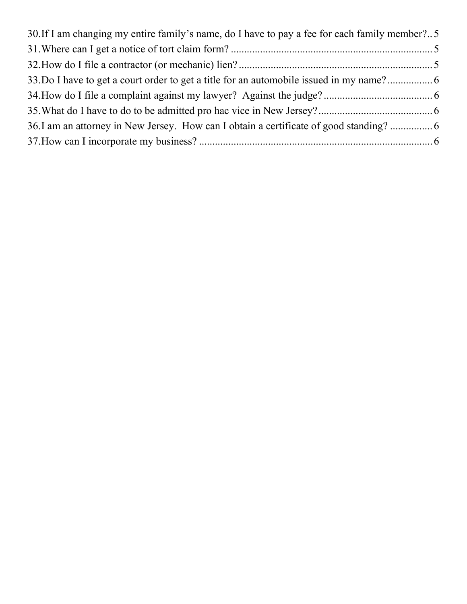| 30. If I am changing my entire family's name, do I have to pay a fee for each family member? 5 |  |
|------------------------------------------------------------------------------------------------|--|
|                                                                                                |  |
|                                                                                                |  |
| 33. Do I have to get a court order to get a title for an automobile issued in my name?         |  |
|                                                                                                |  |
|                                                                                                |  |
| 36. I am an attorney in New Jersey. How can I obtain a certificate of good standing?           |  |
|                                                                                                |  |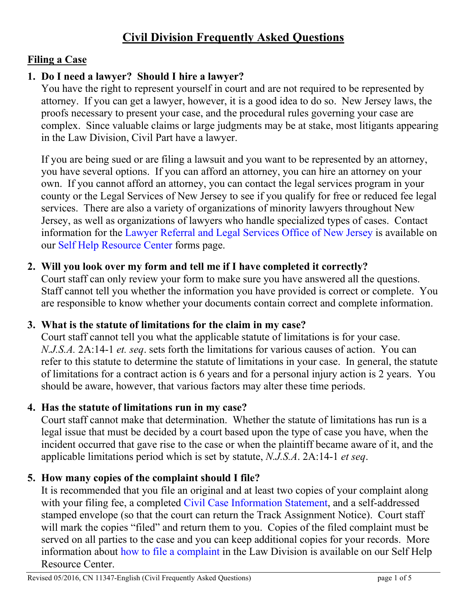# **Civil Division Frequently Asked Questions**

# **Filing a Case**

# <span id="page-2-0"></span>**1. Do I need a lawyer? Should I hire a lawyer?**

You have the right to represent yourself in court and are not required to be represented by attorney. If you can get a lawyer, however, it is a good idea to do so. New Jersey laws, the proofs necessary to present your case, and the procedural rules governing your case are complex. Since valuable claims or large judgments may be at stake, most litigants appearing in the Law Division, Civil Part have a lawyer.

If you are being sued or are filing a lawsuit and you want to be represented by an attorney, you have several options. If you can afford an attorney, you can hire an attorney on your own. If you cannot afford an attorney, you can contact the legal services program in your county or the Legal Services of New Jersey to see if you qualify for free or reduced fee legal services. There are also a variety of organizations of minority lawyers throughout New Jersey, as well as organizations of lawyers who handle specialized types of cases. Contact information for the [Lawyer Referral and Legal Services Office of New Jersey](http://www.njcourts.gov/forms/10153_deptyclerklawref.pdf) is available on our [Self Help Resource Center](http://www.njcourts.gov/selfhelp/index.html) forms page.

# <span id="page-2-1"></span>**2. Will you look over my form and tell me if I have completed it correctly?**

Court staff can only review your form to make sure you have answered all the questions. Staff cannot tell you whether the information you have provided is correct or complete. You are responsible to know whether your documents contain correct and complete information.

#### <span id="page-2-2"></span>**3. What is the statute of limitations for the claim in my case?**

Court staff cannot tell you what the applicable statute of limitations is for your case. *N.J.S.A.* 2A:14-1 *et. seq*. sets forth the limitations for various causes of action. You can refer to this statute to determine the statute of limitations in your case. In general, the statute of limitations for a contract action is 6 years and for a personal injury action is 2 years. You should be aware, however, that various factors may alter these time periods.

#### <span id="page-2-3"></span>**4. Has the statute of limitations run in my case?**

Court staff cannot make that determination. Whether the statute of limitations has run is a legal issue that must be decided by a court based upon the type of case you have, when the incident occurred that gave rise to the case or when the plaintiff became aware of it, and the applicable limitations period which is set by statute, *N.J.S.A*. 2A:14-1 *et seq*.

# <span id="page-2-4"></span>**5. How many copies of the complaint should I file?**

It is recommended that you file an original and at least two copies of your complaint along with your filing fee, a completed [Civil Case Information Statement,](http://www.njcourts.gov/forms/10517_ps_pkt.pdf) and a self-addressed stamped envelope (so that the court can return the Track Assignment Notice). Court staff will mark the copies "filed" and return them to you. Copies of the filed complaint must be served on all parties to the case and you can keep additional copies for your records. More information about [how to file a complaint](http://www.njcourts.gov/forms/10553_cmplt_supcrt.pdf) in the Law Division is available on our Self Help Resource Center.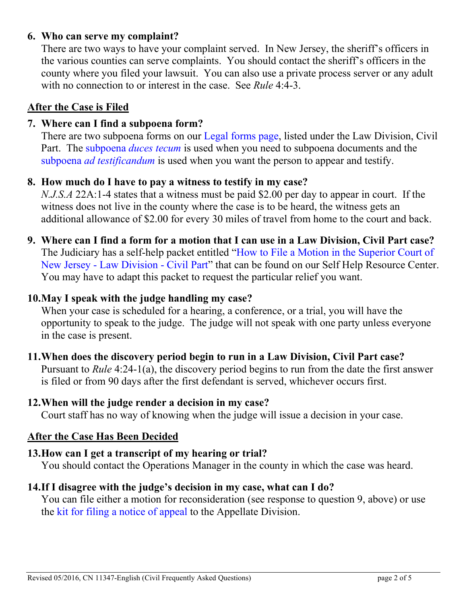# <span id="page-3-0"></span>**6. Who can serve my complaint?**

There are two ways to have your complaint served. In New Jersey, the sheriff's officers in the various counties can serve complaints. You should contact the sheriff's officers in the county where you filed your lawsuit. You can also use a private process server or any adult with no connection to or interest in the case. See *Rule* 4:4-3.

# **After the Case is Filed**

# <span id="page-3-1"></span>**7. Where can I find a subpoena form?**

There are two subpoena forms on our [Legal forms page,](http://www.njcourts.gov/selfhelp/catalog.html?customer=Attorneys) listed under the Law Division, Civil Part. The [subpoena](http://www.njcourts.gov/forms/11010_subpoena_ducestecum_cp.pdf) *duces tecum* is used when you need to subpoena documents and the subpoena *[ad testificandum](http://www.njcourts.gov/forms/11008_subpoena_ad_testificandum_cp.pdf)* is used when you want the person to appear and testify.

# <span id="page-3-2"></span>**8. How much do I have to pay a witness to testify in my case?**

*N.J.S.A* 22A:1-4 states that a witness must be paid \$2.00 per day to appear in court. If the witness does not live in the county where the case is to be heard, the witness gets an additional allowance of \$2.00 for every 30 miles of travel from home to the court and back.

<span id="page-3-3"></span>**9. Where can I find a form for a motion that I can use in a Law Division, Civil Part case?** The Judiciary has a self-help packet entitled ["How to File a Motion in the Superior Court of](http://www.njcourts.gov/forms/10555_motion_supct.pdf)  New Jersey - [Law Division -](http://www.njcourts.gov/forms/10555_motion_supct.pdf) Civil Part" that can be found on our Self Help Resource Center. You may have to adapt this packet to request the particular relief you want.

# <span id="page-3-4"></span>**10.May I speak with the judge handling my case?**

When your case is scheduled for a hearing, a conference, or a trial, you will have the opportunity to speak to the judge. The judge will not speak with one party unless everyone in the case is present.

#### <span id="page-3-5"></span>**11.When does the discovery period begin to run in a Law Division, Civil Part case?**

Pursuant to *Rule* 4:24-1(a), the discovery period begins to run from the date the first answer is filed or from 90 days after the first defendant is served, whichever occurs first.

#### <span id="page-3-6"></span>**12.When will the judge render a decision in my case?**

Court staff has no way of knowing when the judge will issue a decision in your case.

#### **After the Case Has Been Decided**

#### <span id="page-3-7"></span>**13.How can I get a transcript of my hearing or trial?**

You should contact the Operations Manager in the county in which the case was heard.

#### <span id="page-3-9"></span><span id="page-3-8"></span>**14.If I disagree with the judge's decision in my case, what can I do?**

You can file either a motion for reconsideration (see response to question 9, above) or use the [kit for filing a notice of appeal](http://www.njcourts.gov/forms/10837_appl_prose_kit.pdf) to the Appellate Division.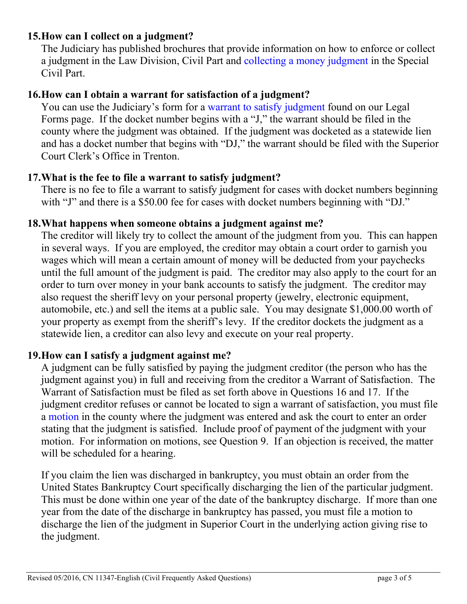# <span id="page-4-0"></span>**15.How can I collect on a judgment?**

The Judiciary has published brochures that provide information on how to enforce or collect a judgment in the Law Division, Civil Part and [collecting a money judgment](http://www.njcourts.gov/forms/10282_collect_money_jdgmnt.pdf) in the Special Civil Part.

# **16.How can I obtain a warrant for satisfaction of a judgment?**

You can use the Judiciary's form for a [warrant to satisfy judgment](http://www.njcourts.gov/forms/11009_warrantsatisfy.pdf) found on our Legal Forms page. If the docket number begins with a "J," the warrant should be filed in the county where the judgment was obtained. If the judgment was docketed as a statewide lien and has a docket number that begins with "DJ," the warrant should be filed with the Superior Court Clerk's Office in Trenton.

# <span id="page-4-1"></span>**17.What is the fee to file a warrant to satisfy judgment?**

There is no fee to file a warrant to satisfy judgment for cases with docket numbers beginning with "J" and there is a \$50.00 fee for cases with docket numbers beginning with "DJ."

# <span id="page-4-2"></span>**18.What happens when someone obtains a judgment against me?**

The creditor will likely try to collect the amount of the judgment from you. This can happen in several ways. If you are employed, the creditor may obtain a court order to garnish you wages which will mean a certain amount of money will be deducted from your paychecks until the full amount of the judgment is paid. The creditor may also apply to the court for an order to turn over money in your bank accounts to satisfy the judgment. The creditor may also request the sheriff levy on your personal property (jewelry, electronic equipment, automobile, etc.) and sell the items at a public sale. You may designate \$1,000.00 worth of your property as exempt from the sheriff's levy. If the creditor dockets the judgment as a statewide lien, a creditor can also levy and execute on your real property.

# <span id="page-4-3"></span>**19.How can I satisfy a judgment against me?**

A judgment can be fully satisfied by paying the judgment creditor (the person who has the judgment against you) in full and receiving from the creditor a Warrant of Satisfaction. The Warrant of Satisfaction must be filed as set forth above in Questions 16 and 17. If the judgment creditor refuses or cannot be located to sign a warrant of satisfaction, you must file a [motion](http://www.njcourts.gov/forms/10555_motion_supct.pdf) in the county where the judgment was entered and ask the court to enter an order stating that the judgment is satisfied. Include proof of payment of the judgment with your motion. For information on motions, see Question 9. If an objection is received, the matter will be scheduled for a hearing.

If you claim the lien was discharged in bankruptcy, you must obtain an order from the United States Bankruptcy Court specifically discharging the lien of the particular judgment. This must be done within one year of the date of the bankruptcy discharge. If more than one year from the date of the discharge in bankruptcy has passed, you must file a motion to discharge the lien of the judgment in Superior Court in the underlying action giving rise to the judgment.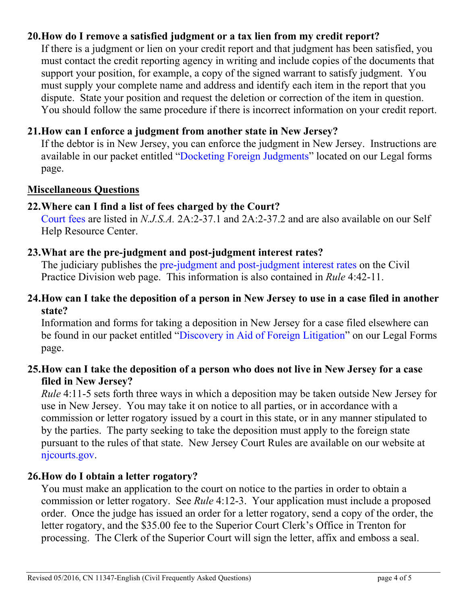# <span id="page-5-0"></span>**20.How do I remove a satisfied judgment or a tax lien from my credit report?**

If there is a judgment or lien on your credit report and that judgment has been satisfied, you must contact the credit reporting agency in writing and include copies of the documents that support your position, for example, a copy of the signed warrant to satisfy judgment. You must supply your complete name and address and identify each item in the report that you dispute. State your position and request the deletion or correction of the item in question. You should follow the same procedure if there is incorrect information on your credit report.

# <span id="page-5-1"></span>**21.How can I enforce a judgment from another state in New Jersey?**

If the debtor is in New Jersey, you can enforce the judgment in New Jersey. Instructions are available in our packet entitled ["Docketing Foreign Judgments"](http://www.njcourts.gov/forms/10519_docket_foreign_judgmts.pdf) located on our Legal forms page.

#### **Miscellaneous Questions**

#### <span id="page-5-2"></span>**22.Where can I find a list of fees charged by the Court?**

[Court fees a](http://www.njcourts.gov/forms/11112_courtfees.pdf)re listed in *N.J.S.A.* 2A:2-37.1 and 2A:2-37.2 and are also available on our Self Help Resource Center.

#### <span id="page-5-3"></span>**23.What are the pre-judgment and post-judgment interest rates?**

The judiciary publishes the [pre-judgment and post-judgment interest rates](http://www.njcourts.gov/courts/assets/civil/postprejudgementrates.pdf) on the Civil Practice Division web page. This information is also contained in *Rule* 4:42-11.

#### <span id="page-5-4"></span>**24.How can I take the deposition of a person in New Jersey to use in a case filed in another state?**

Information and forms for taking a deposition in New Jersey for a case filed elsewhere can be found in our packet entitled ["Discovery in Aid of Foreign Litigation"](http://www.njcourts.gov/forms/10518_forgn_lit.pdf) on our Legal Forms page.

# <span id="page-5-5"></span>**25.How can I take the deposition of a person who does not live in New Jersey for a case filed in New Jersey?**

*Rule* 4:11-5 sets forth three ways in which a deposition may be taken outside New Jersey for use in New Jersey. You may take it on notice to all parties, or in accordance with a commission or letter rogatory issued by a court in this state, or in any manner stipulated to by the parties. The party seeking to take the deposition must apply to the foreign state pursuant to the rules of that state. New Jersey Court Rules are available on our website at [njcourts.gov.](http://www.njcourts.gov/attorneys/rules.html)

#### <span id="page-5-6"></span>**26.How do I obtain a letter rogatory?**

You must make an application to the court on notice to the parties in order to obtain a commission or letter rogatory. See *Rule* 4:12-3. Your application must include a proposed order. Once the judge has issued an order for a letter rogatory, send a copy of the order, the letter rogatory, and the \$35.00 fee to the Superior Court Clerk's Office in Trenton for processing. The Clerk of the Superior Court will sign the letter, affix and emboss a seal.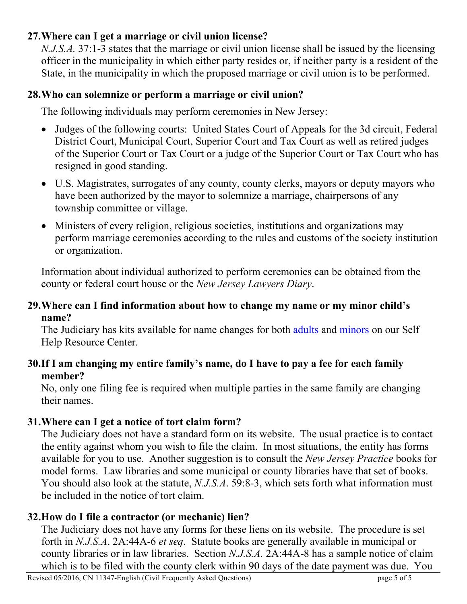# <span id="page-6-0"></span>**27.Where can I get a marriage or civil union license?**

*N.J.S.A.* 37:1-3 states that the marriage or civil union license shall be issued by the licensing officer in the municipality in which either party resides or, if neither party is a resident of the State, in the municipality in which the proposed marriage or civil union is to be performed.

# <span id="page-6-1"></span>**28.Who can solemnize or perform a marriage or civil union?**

The following individuals may perform ceremonies in New Jersey:

- Judges of the following courts: United States Court of Appeals for the 3d circuit, Federal District Court, Municipal Court, Superior Court and Tax Court as well as retired judges of the Superior Court or Tax Court or a judge of the Superior Court or Tax Court who has resigned in good standing.
- U.S. Magistrates, surrogates of any county, county clerks, mayors or deputy mayors who have been authorized by the mayor to solemnize a marriage, chairpersons of any township committee or village.
- Ministers of every religion, religious societies, institutions and organizations may perform marriage ceremonies according to the rules and customs of the society institution or organization.

Information about individual authorized to perform ceremonies can be obtained from the county or federal court house or the *New Jersey Lawyers Diary*.

# <span id="page-6-2"></span>**29.Where can I find information about how to change my name or my minor child's name?**

The Judiciary has kits available for name changes for both [adults](http://www.njcourts.gov/forms/10551_namechg_adult.pdf) and [minors](http://www.njcourts.gov/forms/10552_namechg_family.pdf) on our Self Help Resource Center.

# <span id="page-6-3"></span>**30.If I am changing my entire family's name, do I have to pay a fee for each family member?**

No, only one filing fee is required when multiple parties in the same family are changing their names.

# <span id="page-6-4"></span>**31.Where can I get a notice of tort claim form?**

The Judiciary does not have a standard form on its website. The usual practice is to contact the entity against whom you wish to file the claim. In most situations, the entity has forms available for you to use. Another suggestion is to consult the *New Jersey Practice* books for model forms. Law libraries and some municipal or county libraries have that set of books. You should also look at the statute, *N.J.S.A*. 59:8-3, which sets forth what information must be included in the notice of tort claim.

# <span id="page-6-5"></span>**32.How do I file a contractor (or mechanic) lien?**

The Judiciary does not have any forms for these liens on its website. The procedure is set forth in *N.J.S.A*. 2A:44A-6 *et seq*. Statute books are generally available in municipal or county libraries or in law libraries. Section *N.J.S.A.* 2A:44A-8 has a sample notice of claim which is to be filed with the county clerk within 90 days of the date payment was due. You